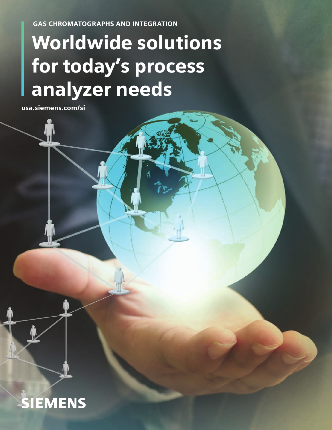GAS CHROMATOGRAPHS AND INTEGRATION

# Worldwide solutions for today's process analyzer needs

usa.siemens.com/si

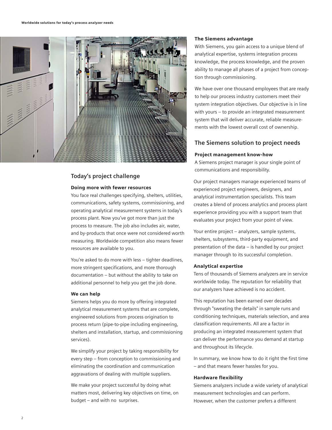

# **Today's project challenge**

#### Doing more with fewer resources

You face real challenges specifying, shelters, utilities, communications, safety systems, commissioning, and operating analytical measurement systems in today's process plant. Now you've got more than just the process to measure. The job also includes air, water, and by-products that once were not considered worth measuring. Worldwide competition also means fewer resources are available to you.

You're asked to do more with less – tighter deadlines, more stringent specifications, and more thorough documentation – but without the ability to take on additional personnel to help you get the job done.

#### We can help

Siemens helps you do more by offering integrated analytical measurement systems that are complete, engineered solutions from process origination to process return (pipe-to-pipe including engineering, shelters and installation, startup, and commissioning services).

We simplify your project by taking responsibility for every step – from conception to commissioning and eliminating the coordination and communication aggravations of dealing with multiple suppliers.

We make your project successful by doing what matters most, delivering key objectives on time, on budget – and with no surprises.

#### The Siemens advantage

With Siemens, you gain access to a unique blend of analytical expertise, systems integration process knowledge, the process knowledge, and the proven ability to manage all phases of a project from conception through commissioning.

We have over one thousand employees that are ready to help our process industry customers meet their system integration objectives. Our objective is in line with yours – to provide an integrated measurement system that will deliver accurate, reliable measurements with the lowest overall cost of ownership.

## **The Siemens solution to project needs**

#### Project management know-how

A Siemens project manager is your single point of communications and responsibility.

Our project managers manage experienced teams of experienced project engineers, designers, and analytical instrumentation specialists. This team creates a blend of process analytics and process plant experience providing you with a support team that evaluates your project from your point of view.

Your entire project – analyzers, sample systems, shelters, subsystems, third-party equipment, and presentation of the data – is handled by our project manager through to its successful completion.

#### Analytical expertise

Tens of thousands of Siemens analyzers are in service worldwide today. The reputation for reliability that our analyzers have achieved is no accident.

This reputation has been earned over decades through "sweating the details" in sample runs and conditioning techniques, materials selection, and area classification requirements. All are a factor in producing an integrated measurement system that can deliver the performance you demand at startup and throughout its lifecycle.

In summary, we know how to do it right the first time – and that means fewer hassles for you.

#### Hardware flexibility

Siemens analyzers include a wide variety of analytical measurement technologies and can perform. However, when the customer prefers a different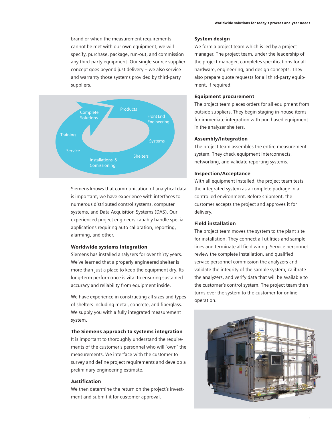brand or when the measurement requirements cannot be met with our own equipment, we will specify, purchase, package, run-out, and commission any third-party equipment. Our single-source supplier concept goes beyond just delivery – we also service and warranty those systems provided by third-party suppliers.



Siemens knows that communication of analytical data is important; we have experience with interfaces to numerous distributed control systems, computer systems, and Data Acquisition Systems (DAS). Our experienced project engineers capably handle special applications requiring auto calibration, reporting, alarming, and other.

#### Worldwide systems integration

Siemens has installed analyzers for over thirty years. We've learned that a properly engineered shelter is more than just a place to keep the equipment dry. Its long-term performance is vital to ensuring sustained accuracy and reliability from equipment inside.

We have experience in constructing all sizes and types of shelters including metal, concrete, and fiberglass. We supply you with a fully integrated measurement system.

#### The Siemens approach to systems integration

It is important to thoroughly understand the requirements of the customer's personnel who will "own" the measurements. We interface with the customer to survey and define project requirements and develop a preliminary engineering estimate.

#### Justification

We then determine the return on the project's investment and submit it for customer approval.

#### System design

We form a project team which is led by a project manager. The project team, under the leadership of the project manager, completes specifications for all hardware, engineering, and design concepts. They also prepare quote requests for all third-party equipment, if required.

#### Equipment procurement

The project team places orders for all equipment from outside suppliers. They begin staging in-house items for immediate integration with purchased equipment in the analyzer shelters.

#### Assembly/Integration

The project team assembles the entire measurement system. They check equipment interconnects, networking, and validate reporting systems.

#### Inspection/Acceptance

With all equipment installed, the project team tests the integrated system as a complete package in a controlled environment. Before shipment, the customer accepts the project and approves it for delivery.

#### Field installation

The project team moves the system to the plant site for installation. They connect all utilities and sample lines and terminate all field wiring. Service personnel review the complete installation, and qualified service personnel commission the analyzers and validate the integrity of the sample system, calibrate the analyzers, and verify data that will be available to the customer's control system. The project team then turns over the system to the customer for online operation.